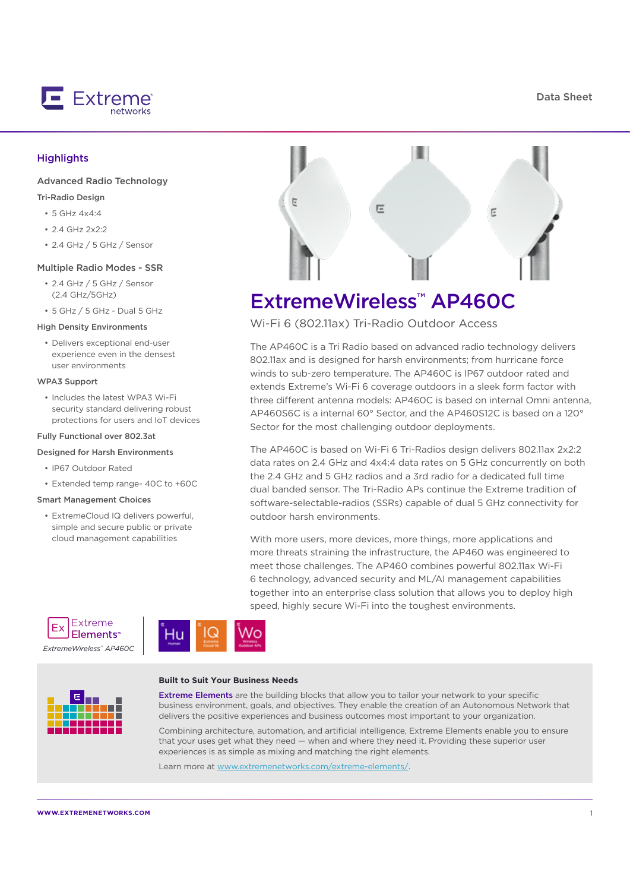Data Sheet



#### **Highlights**

#### Advanced Radio Technology

#### Tri-Radio Design

- 5 GHz 4x4:4
- 2.4 GHz 2x2:2
- 2.4 GHz / 5 GHz / Sensor

#### Multiple Radio Modes - SSR

- 2.4 GHz / 5 GHz / Sensor (2.4 GHz/5GHz)
- 5 GHz / 5 GHz Dual 5 GHz

#### High Density Environments

• Delivers exceptional end-user experience even in the densest user environments

#### WPA3 Support

• Includes the latest WPA3 Wi-Fi security standard delivering robust protections for users and IoT devices

#### Fully Functional over 802.3at

#### Designed for Harsh Environments

- IP67 Outdoor Rated
- Extended temp range- 40C to +60C

#### Smart Management Choices

• ExtremeCloud IQ delivers powerful, simple and secure public or private cloud management capabilities



# ExtremeWireless™ AP460C

Wi-Fi 6 (802.11ax) Tri-Radio Outdoor Access

The AP460C is a Tri Radio based on advanced radio technology delivers 802.11ax and is designed for harsh environments; from hurricane force winds to sub-zero temperature. The AP460C is IP67 outdoor rated and extends Extreme's Wi-Fi 6 coverage outdoors in a sleek form factor with three different antenna models: AP460C is based on internal Omni antenna, AP460S6C is a internal 60° Sector, and the AP460S12C is based on a 120° Sector for the most challenging outdoor deployments.

The AP460C is based on Wi-Fi 6 Tri-Radios design delivers 802.11ax 2x2:2 data rates on 2.4 GHz and 4x4:4 data rates on 5 GHz concurrently on both the 2.4 GHz and 5 GHz radios and a 3rd radio for a dedicated full time dual banded sensor. The Tri-Radio APs continue the Extreme tradition of software-selectable-radios (SSRs) capable of dual 5 GHz connectivity for outdoor harsh environments.

With more users, more devices, more things, more applications and more threats straining the infrastructure, the AP460 was engineered to meet those challenges. The AP460 combines powerful 802.11ax Wi-Fi 6 technology, advanced security and ML/AI management capabilities together into an enterprise class solution that allows you to deploy high speed, highly secure Wi-Fi into the toughest environments.



*ExtremeWireless™ AP460C*





#### **Built to Suit Your Business Needs**

**Extreme Elements** are the building blocks that allow you to tailor your network to your specific business environment, goals, and objectives. They enable the creation of an Autonomous Network that delivers the positive experiences and business outcomes most important to your organization.

Combining architecture, automation, and artificial intelligence, Extreme Elements enable you to ensure that your uses get what they need — when and where they need it. Providing these superior user experiences is as simple as mixing and matching the right elements.

Learn more at www.extremenetworks.com/extreme-elements/.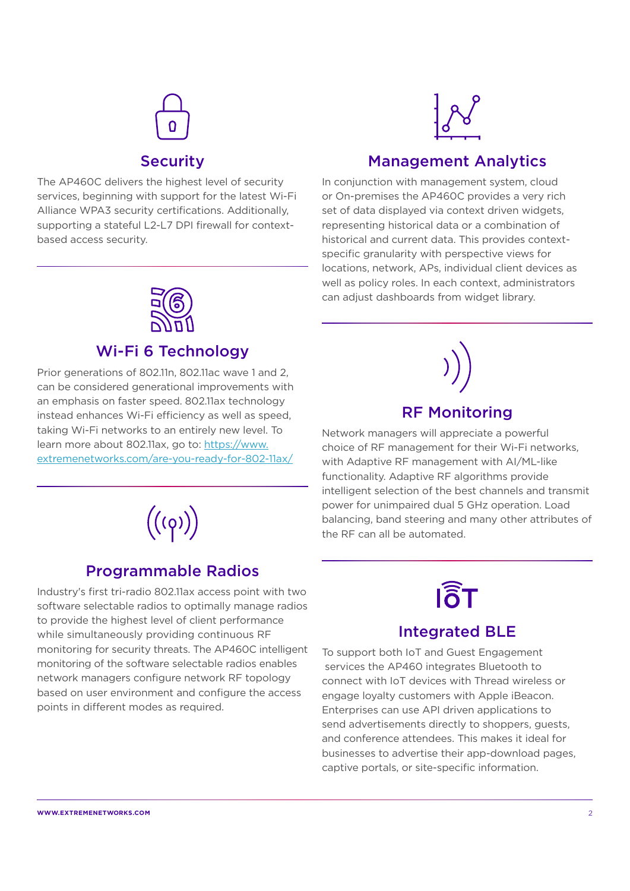

Security

## Management Analytics

The AP460C delivers the highest level of security services, beginning with support for the latest Wi-Fi Alliance WPA3 security certifications. Additionally, supporting a stateful L2-L7 DPI firewall for contextbased access security.

In conjunction with management system, cloud or On-premises the AP460C provides a very rich set of data displayed via context driven widgets, representing historical data or a combination of historical and current data. This provides contextspecific granularity with perspective views for locations, network, APs, individual client devices as well as policy roles. In each context, administrators can adjust dashboards from widget library.



## Wi-Fi 6 Technology

Prior generations of 802.11n, 802.11ac wave 1 and 2, can be considered generational improvements with an emphasis on faster speed. 802.11ax technology instead enhances Wi-Fi efficiency as well as speed, taking Wi-Fi networks to an entirely new level. To learn more about 802.11ax, go to: https://www. extremenetworks.com/are-you-ready-for-802-11ax/



## Programmable Radios

Industry's first tri-radio 802.11ax access point with two software selectable radios to optimally manage radios to provide the highest level of client performance while simultaneously providing continuous RF monitoring for security threats. The AP460C intelligent monitoring of the software selectable radios enables network managers configure network RF topology based on user environment and configure the access points in different modes as required.



## RF Monitoring

Network managers will appreciate a powerful choice of RF management for their Wi-Fi networks, with Adaptive RF management with AI/ML-like functionality. Adaptive RF algorithms provide intelligent selection of the best channels and transmit power for unimpaired dual 5 GHz operation. Load balancing, band steering and many other attributes of the RF can all be automated.

# **I**តិT

## Integrated BLE

To support both IoT and Guest Engagement services the AP460 integrates Bluetooth to connect with IoT devices with Thread wireless or engage loyalty customers with Apple iBeacon. Enterprises can use API driven applications to send advertisements directly to shoppers, guests, and conference attendees. This makes it ideal for businesses to advertise their app-download pages, captive portals, or site-specific information.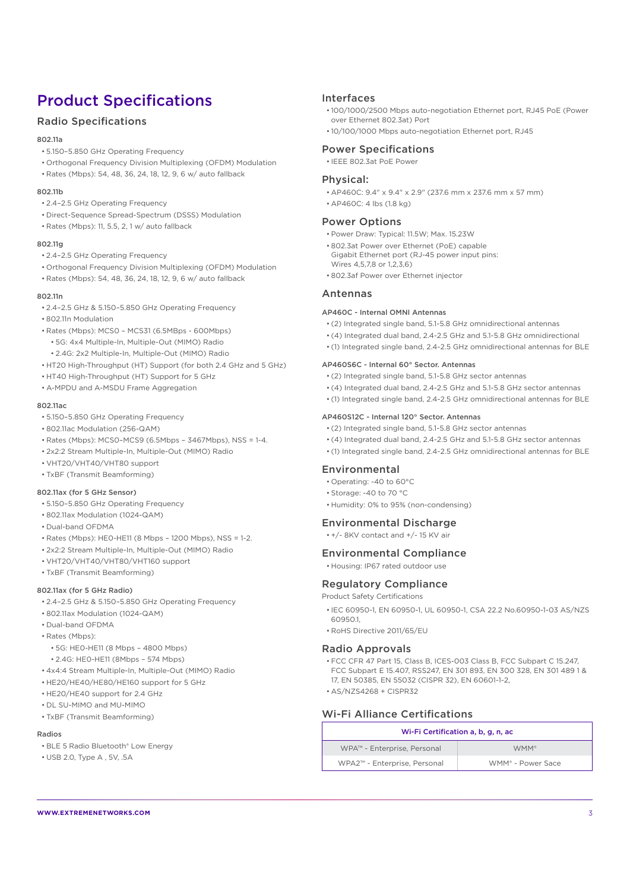## Product Specifications

#### Radio Specifications

#### 802.11a

- 5.150–5.850 GHz Operating Frequency
- Orthogonal Frequency Division Multiplexing (OFDM) Modulation
- Rates (Mbps): 54, 48, 36, 24, 18, 12, 9, 6 w/ auto fallback

#### 802.11b

- 2.4–2.5 GHz Operating Frequency
- Direct-Sequence Spread-Spectrum (DSSS) Modulation
- Rates (Mbps): 11, 5.5, 2, 1 w/ auto fallback

#### 802.11g

- 2.4–2.5 GHz Operating Frequency
- Orthogonal Frequency Division Multiplexing (OFDM) Modulation
- Rates (Mbps): 54, 48, 36, 24, 18, 12, 9, 6 w/ auto fallback

#### 802.11n

- 2.4–2.5 GHz & 5.150–5.850 GHz Operating Frequency
- 802.11n Modulation
- Rates (Mbps): MCS0 MCS31 (6.5MBps 600Mbps)
	- 5G: 4x4 Multiple-In, Multiple-Out (MIMO) Radio
	- 2.4G: 2x2 Multiple-In, Multiple-Out (MIMO) Radio
- HT20 High-Throughput (HT) Support (for both 2.4 GHz and 5 GHz)
- HT40 High-Throughput (HT) Support for 5 GHz • A-MPDU and A-MSDU Frame Aggregation

- 802.11ac • 5.150–5.850 GHz Operating Frequency
- 802.11ac Modulation (256-QAM)
- Rates (Mbps): MCS0–MCS9 (6.5Mbps 3467Mbps), NSS = 1-4.
- 2x2:2 Stream Multiple-In, Multiple-Out (MIMO) Radio
- VHT20/VHT40/VHT80 support
- TxBF (Transmit Beamforming)

#### 802.11ax (for 5 GHz Sensor)

- 5.150–5.850 GHz Operating Frequency
- 802.11ax Modulation (1024-QAM)
- Dual-band OFDMA
- Rates (Mbps): HE0-HE11 (8 Mbps 1200 Mbps), NSS = 1-2.
- 2x2:2 Stream Multiple-In, Multiple-Out (MIMO) Radio
- VHT20/VHT40/VHT80/VHT160 support
- TxBF (Transmit Beamforming)

#### 802.11ax (for 5 GHz Radio)

- 2.4–2.5 GHz & 5.150–5.850 GHz Operating Frequency
- 802.11ax Modulation (1024-QAM)
- Dual-band OFDMA
- Rates (Mbps):
	- 5G: HE0-HE11 (8 Mbps 4800 Mbps)
	- 2.4G: HE0-HE11 (8Mbps 574 Mbps)
- 4x4:4 Stream Multiple-In, Multiple-Out (MIMO) Radio
- HE20/HE40/HE80/HE160 support for 5 GHz
- HE20/HE40 support for 2.4 GHz
- DL SU-MIMO and MU-MIMO • TxBF (Transmit Beamforming)
- 

#### Radios

- BLE 5 Radio Bluetooth® Low Energy
- USB 2.0, Type A , 5V, .5A

#### Interfaces

- 100/1000/2500 Mbps auto-negotiation Ethernet port, RJ45 PoE (Power over Ethernet 802.3at) Port
- 10/100/1000 Mbps auto-negotiation Ethernet port, RJ45

#### Power Specifications • IEEE 802.3at PoE Power

#### Physical:

- AP460C: 9.4" x 9.4" x 2.9" (237.6 mm x 237.6 mm x 57 mm)
- AP460C: 4 lbs (1.8 kg)

#### Power Options

- Power Draw: Typical: 11.5W; Max. 15.23W
- 802.3at Power over Ethernet (PoE) capable
- Gigabit Ethernet port (RJ-45 power input pins:
- Wires 4,5,7,8 or 1,2,3,6)
- 802.3af Power over Ethernet injector

#### Antennas

#### AP460C - Internal OMNI Antennas

- (2) Integrated single band, 5.1-5.8 GHz omnidirectional antennas
- (4) Integrated dual band, 2.4-2.5 GHz and 5.1-5.8 GHz omnidirectional
- (1) Integrated single band, 2.4-2.5 GHz omnidirectional antennas for BLE

#### AP460S6C - Internal 60° Sector. Antennas

- (2) Integrated single band, 5.1-5.8 GHz sector antennas
- (4) Integrated dual band, 2.4-2.5 GHz and 5.1-5.8 GHz sector antennas
- (1) Integrated single band, 2.4-2.5 GHz omnidirectional antennas for BLE

#### AP460S12C - Internal 120° Sector. Antennas

- (2) Integrated single band, 5.1-5.8 GHz sector antennas
- (4) Integrated dual band, 2.4-2.5 GHz and 5.1-5.8 GHz sector antennas
- (1) Integrated single band, 2.4-2.5 GHz omnidirectional antennas for BLE

#### Environmental

- Operating: -40 to 60°C
- Storage: -40 to 70 °C
- Humidity: 0% to 95% (non-condensing)

#### Environmental Discharge

• +/- 8KV contact and +/- 15 KV air

#### Environmental Compliance

• Housing: IP67 rated outdoor use

#### Regulatory Compliance

Product Safety Certifications

- IEC 60950-1, EN 60950-1, UL 60950-1, CSA 22.2 No.60950-1-03 AS/NZS 60950.1,
- RoHS Directive 2011/65/EU

#### Radio Approvals

- FCC CFR 47 Part 15, Class B, ICES-003 Class B, FCC Subpart C 15.247, FCC Subpart E 15.407, RSS247, EN 301 893, EN 300 328, EN 301 489 1 & 17, EN 50385, EN 55032 (CISPR 32), EN 60601-1-2,
- AS/NZS4268 + CISPR32

#### Wi-Fi Alliance Certifications

| Wi-Fi Certification a, b, g, n, ac |                               |
|------------------------------------|-------------------------------|
| WPA™ - Enterprise, Personal        | WMM <sup>®</sup>              |
| WPA2™ - Enterprise, Personal       | WMM <sup>®</sup> - Power Sace |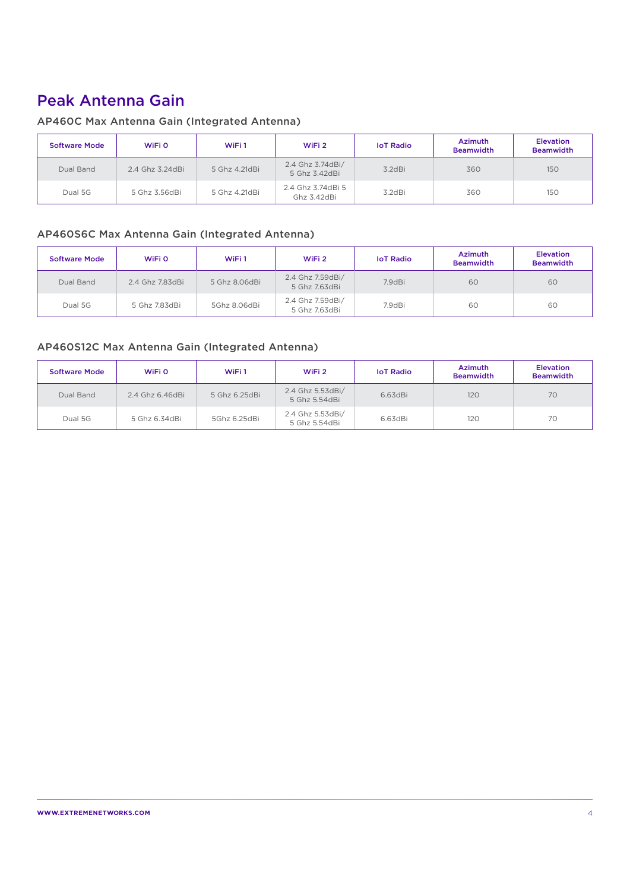## Peak Antenna Gain

#### AP460C Max Antenna Gain (Integrated Antenna)

| Software Mode | WiFi 0          | WiFi1         | WiFi 2                            | <b>IoT Radio</b> | <b>Azimuth</b><br><b>Beamwidth</b> | <b>Elevation</b><br><b>Beamwidth</b> |
|---------------|-----------------|---------------|-----------------------------------|------------------|------------------------------------|--------------------------------------|
| Dual Band     | 2.4 Ghz 3.24dBi | 5 Ghz 4.21dBi | 2.4 Ghz 3.74dBi/<br>5 Ghz 3.42dBi | 3.2dBi           | 360                                | 150                                  |
| Dual 5G       | 5 Ghz 3.56dBi   | 5 Ghz 4.21dBi | 2.4 Ghz 3.74dBi 5<br>Ghz 3.42dBi  | 3.2dBi           | 360                                | 150                                  |

#### AP460S6C Max Antenna Gain (Integrated Antenna)

| <b>Software Mode</b> | WiFi 0          | WiFi1         | WiFi 2                            | <b>IoT Radio</b> | <b>Azimuth</b><br><b>Beamwidth</b> | <b>Elevation</b><br><b>Beamwidth</b> |
|----------------------|-----------------|---------------|-----------------------------------|------------------|------------------------------------|--------------------------------------|
| Dual Band            | 2.4 Ghz 7.83dBi | 5 Ghz 8.06dBi | 2.4 Ghz 7.59dBi/<br>5 Ghz 7.63dBi | 7.9dBi           | 60                                 | 60                                   |
| Dual 5G              | 5 Ghz 7.83dBi   | 5Ghz 8.06dBi  | 2.4 Ghz 7.59dBi/<br>5 Ghz 7.63dBi | 7.9dBi           | 60                                 | 60                                   |

#### AP460S12C Max Antenna Gain (Integrated Antenna)

| <b>Software Mode</b> | WiFi 0          | WiFi1         | WiFi 2                            | <b>IoT Radio</b> | <b>Azimuth</b><br><b>Beamwidth</b> | <b>Elevation</b><br><b>Beamwidth</b> |
|----------------------|-----------------|---------------|-----------------------------------|------------------|------------------------------------|--------------------------------------|
| Dual Band            | 2.4 Ghz 6.46dBi | 5 Ghz 6.25dBi | 2.4 Ghz 5.53dBi/<br>5 Ghz 5.54dBi | 6.63dBi          | 120                                | 70                                   |
| Dual 5G              | 5 Ghz 6.34dBi   | 5Ghz 6.25dBi  | 2.4 Ghz 5.53dBi/<br>5 Ghz 5.54dBi | 6.63dBi          | 120                                | 70                                   |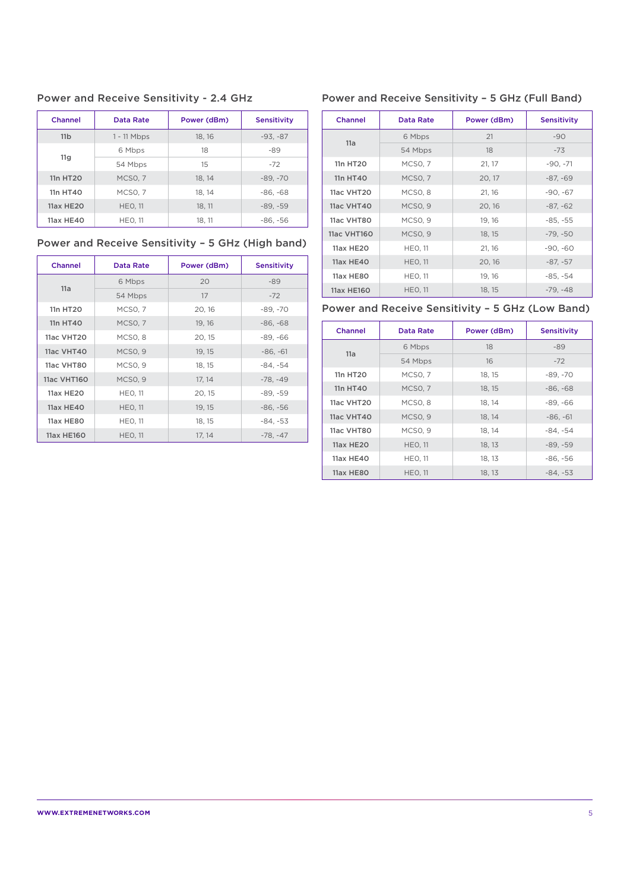Power and Receive Sensitivity - 2.4 GHz

| Channel          | Data Rate          | Power (dBm) | <b>Sensitivity</b> |
|------------------|--------------------|-------------|--------------------|
| 11 <sub>b</sub>  | $1 - 11$ Mbps      | 18, 16      | $-93. -87$         |
|                  | 6 Mbps             | 18          | -89                |
| 11 <sub>q</sub>  | 54 Mbps            | 15          | $-72$              |
| 11n HT20         | MCSO <sub>.7</sub> | 18.14       | $-89, -70$         |
| 11n HT40         | MCSO, 7            | 18, 14      | $-86, -68$         |
| <b>11ax HE20</b> | <b>HEO. 11</b>     | 18, 11      | $-89, -59$         |
| 11ax HE40        | <b>HEO. 11</b>     | 18, 11      | $-86, -56$         |

## Power and Receive Sensitivity – 5 GHz (High band)

| Channel          | Data Rate           | Power (dBm) | <b>Sensitivity</b> |
|------------------|---------------------|-------------|--------------------|
|                  | 6 Mbps              | 20          | $-89$              |
| 11a              | 54 Mbps             | 17          | $-72$              |
| 11n HT20         | <b>MCSO, 7</b>      | 20, 16      | $-89, -70$         |
| 11n HT40         | <b>MCSO, 7</b>      | 19, 16      | $-86, -68$         |
| 11ac VHT20       | MCSO <sub>.</sub> 8 | 20, 15      | $-89, -66$         |
| 11ac VHT40       | MCSO <sub>.9</sub>  | 19, 15      | $-86. -61$         |
| 11ac VHT80       | MCSO <sub>.9</sub>  | 18, 15      | $-84. -54$         |
| 11ac VHT160      | MCSO <sub>, 9</sub> | 17, 14      | $-78. -49$         |
| 11ax HE20        | <b>HEO, 11</b>      | 20, 15      | $-89, -59$         |
| <b>11ax HE40</b> | <b>HEO, 11</b>      | 19, 15      | $-86, -56$         |
| 11ax HE80        | <b>HEO, 11</b>      | 18, 15      | $-84, -53$         |
| 11ax HE160       | <b>HEO, 11</b>      | 17, 14      | $-78. -47$         |

#### Power and Receive Sensitivity – 5 GHz (Full Band)

| Channel          | <b>Data Rate</b>    | Power (dBm) | <b>Sensitivity</b> |
|------------------|---------------------|-------------|--------------------|
|                  | 6 Mbps              | 21          | $-90$              |
| 11a              | 54 Mbps             | 18          | $-73$              |
| 11n HT20         | MCSO, 7             | 21, 17      | $-90, -71$         |
| 11n HT40         | MCSO, 7             | 20, 17      | $-87, -69$         |
| 11ac VHT20       | MCSO <sub>, 8</sub> | 21, 16      | $-90. -67$         |
| 11ac VHT40       | MCSO <sub>.9</sub>  | 20, 16      | $-87, -62$         |
| 11ac VHT80       | MCSO, 9             | 19, 16      | $-85. -55$         |
| 11ac VHT160      | MCSO <sub>, 9</sub> | 18, 15      | $-79, -50$         |
| 11ax HE20        | <b>HEO, 11</b>      | 21, 16      | $-90, -60$         |
| 11ax HE40        | <b>HEO, 11</b>      | 20, 16      | $-87, -57$         |
| <b>11ax HE80</b> | <b>HEO, 11</b>      | 19, 16      | $-85, -54$         |
| 11ax HE160       | <b>HEO, 11</b>      | 18, 15      | $-79, -48$         |

## Power and Receive Sensitivity – 5 GHz (Low Band)

| <b>Channel</b> | Data Rate           | Power (dBm) | <b>Sensitivity</b> |
|----------------|---------------------|-------------|--------------------|
| 11a            | 6 Mbps              | 18          | $-89$              |
|                | 54 Mbps             | 16          | $-72$              |
| 11n HT20       | MCSO <sub>.7</sub>  | 18.15       | $-89. -70$         |
| 11n HT40       | MCSO, 7             | 18, 15      | $-86, -68$         |
| 11ac VHT20     | MCSO <sub>.</sub> 8 | 18, 14      | $-89, -66$         |
| 11ac VHT40     | MCSO <sub>.9</sub>  | 18.14       | $-86. -61$         |
| 11ac VHT80     | MCSO <sub>.9</sub>  | 18, 14      | $-84. -54$         |
| 11ax HE20      | <b>HEO, 11</b>      | 18, 13      | $-89, -59$         |
| 11ax HE40      | <b>HEO. 11</b>      | 18.13       | $-86, -56$         |
| 11ax HE80      | <b>HEO, 11</b>      | 18, 13      | $-84, -53$         |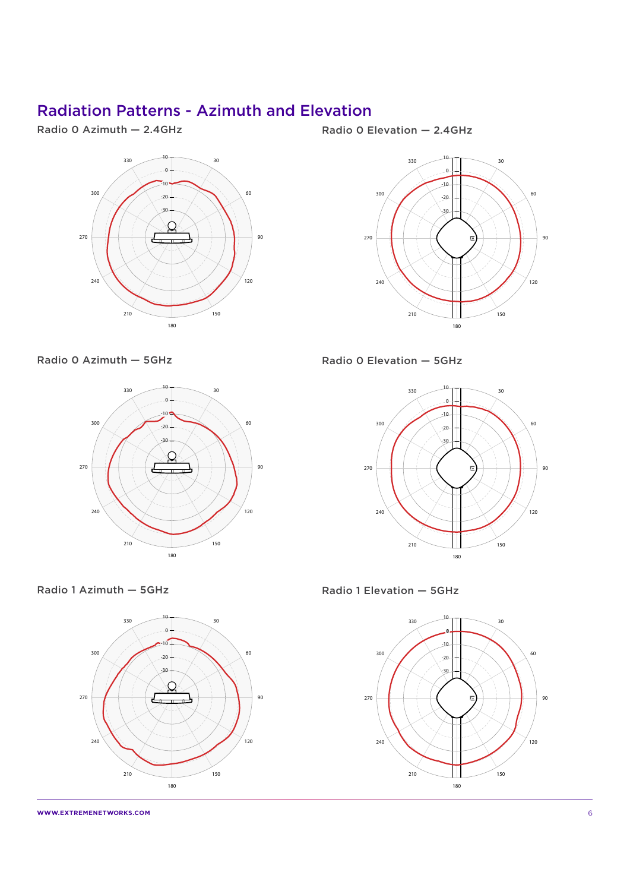## Radiation Patterns - Azimuth and Elevation

Radio 0 Azimuth — 2.4GHz



Radio 0 Azimuth — 5GHz



Radio 0 Elevation — 2.4GHz



Radio 0 Elevation — 5GHz



Radio 1 Azimuth — 5GHz



Radio 1 Elevation — 5GHz



**WWW.EXTREMENETWORKS.COM** 6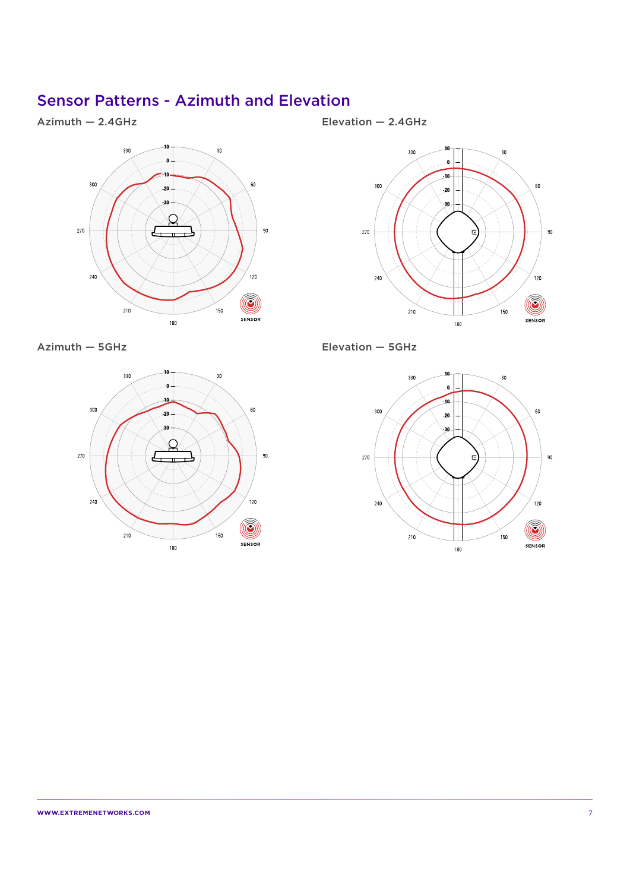## Sensor Patterns - Azimuth and Elevation

#### Azimuth — 2.4GHz



Azimuth — 5GHz



Elevation — 2.4GHz